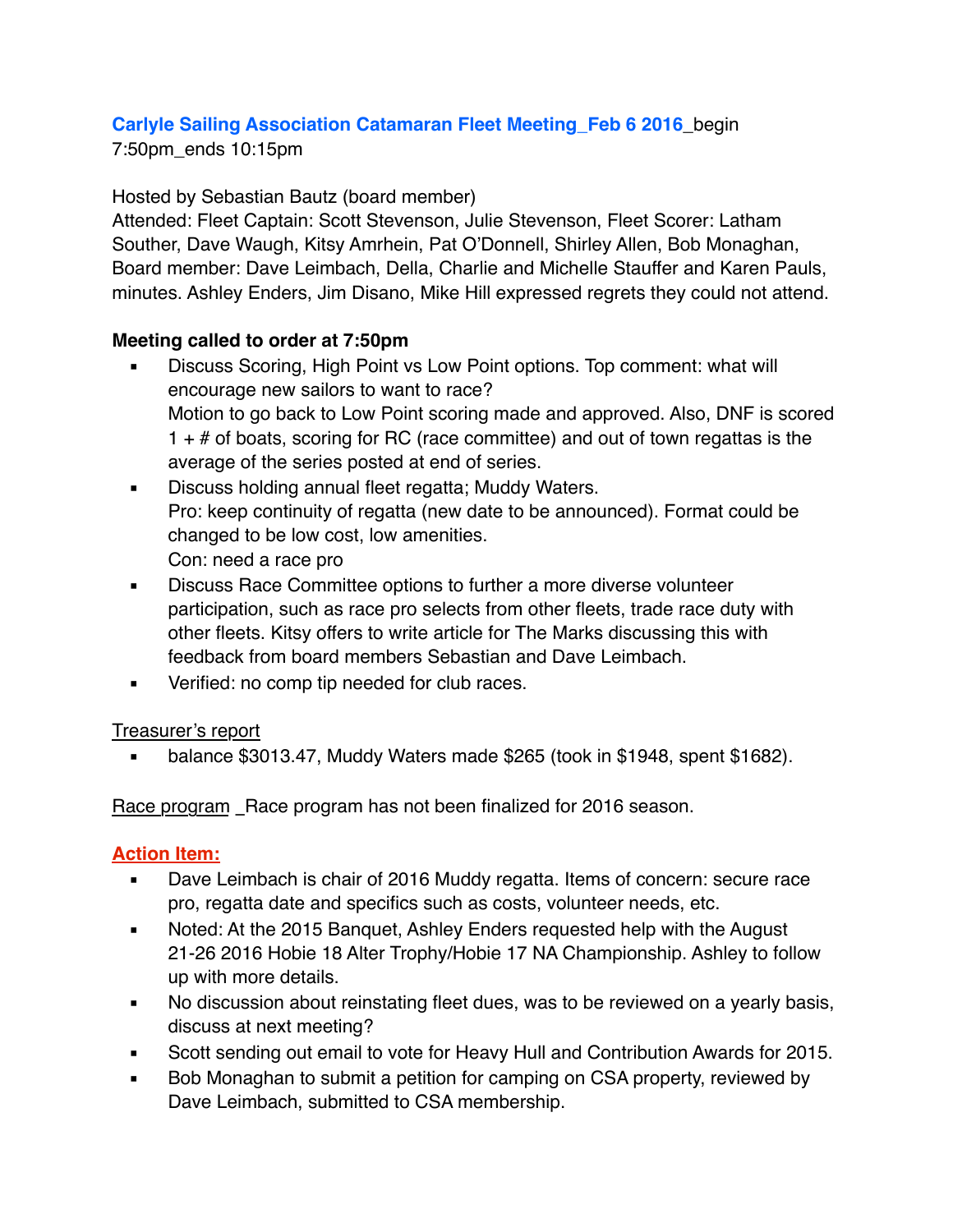# **Carlyle Sailing Association Catamaran Fleet Meeting\_Feb 6 2016**\_begin

7:50pm\_ends 10:15pm

### Hosted by Sebastian Bautz (board member)

Attended: Fleet Captain: Scott Stevenson, Julie Stevenson, Fleet Scorer: Latham Souther, Dave Waugh, Kitsy Amrhein, Pat O'Donnell, Shirley Allen, Bob Monaghan, Board member: Dave Leimbach, Della, Charlie and Michelle Stauffer and Karen Pauls, minutes. Ashley Enders, Jim Disano, Mike Hill expressed regrets they could not attend.

## **Meeting called to order at 7:50pm**

- **EXEDENT DISCUSS Scoring, High Point vs Low Point options. Top comment: what will** encourage new sailors to want to race? Motion to go back to Low Point scoring made and approved. Also, DNF is scored  $1 + #$  of boats, scoring for RC (race committee) and out of town regattas is the average of the series posted at end of series.
- **EXEDE EXECUSE holding annual fleet regatta; Muddy Waters.** Pro: keep continuity of regatta (new date to be announced). Format could be changed to be low cost, low amenities. Con: need a race pro
- **EXEDENT** Discuss Race Committee options to further a more diverse volunteer participation, such as race pro selects from other fleets, trade race duty with other fleets. Kitsy offers to write article for The Marks discussing this with feedback from board members Sebastian and Dave Leimbach.
- Verified: no comp tip needed for club races.

#### Treasurer's report

▪ balance \$3013.47, Muddy Waters made \$265 (took in \$1948, spent \$1682).

Race program Race program has not been finalized for 2016 season.

#### **Action Item:**

- Dave Leimbach is chair of 2016 Muddy regatta. Items of concern: secure race pro, regatta date and specifics such as costs, volunteer needs, etc.
- Noted: At the 2015 Banquet, Ashley Enders requested help with the August 21-26 2016 Hobie 18 Alter Trophy/Hobie 17 NA Championship. Ashley to follow up with more details.
- No discussion about reinstating fleet dues, was to be reviewed on a yearly basis, discuss at next meeting?
- Scott sending out email to vote for Heavy Hull and Contribution Awards for 2015.
- Bob Monaghan to submit a petition for camping on CSA property, reviewed by Dave Leimbach, submitted to CSA membership.